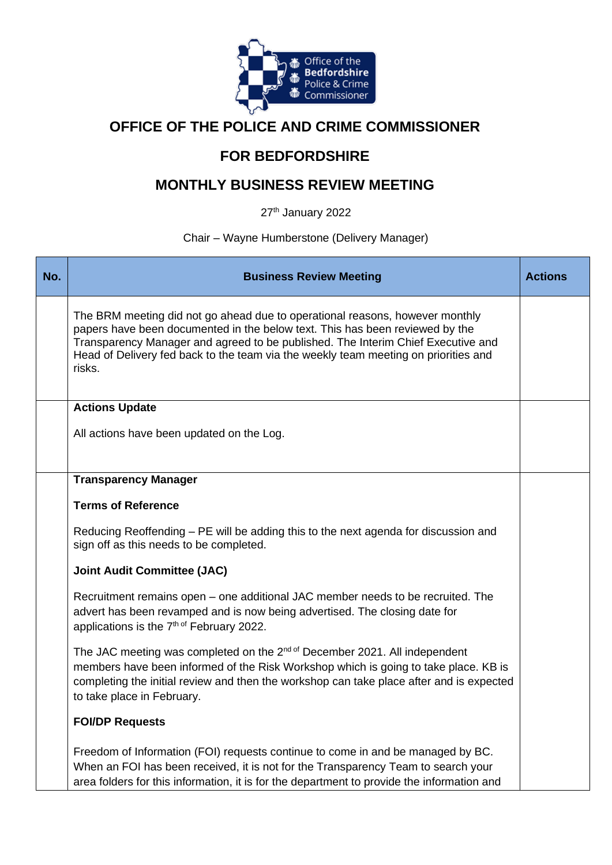

# **OFFICE OF THE POLICE AND CRIME COMMISSIONER**

# **FOR BEDFORDSHIRE**

# **MONTHLY BUSINESS REVIEW MEETING**

27<sup>th</sup> January 2022

# Chair – Wayne Humberstone (Delivery Manager)

| No. | <b>Business Review Meeting</b>                                                                                                                                                                                                                                                                                                                    | <b>Actions</b> |
|-----|---------------------------------------------------------------------------------------------------------------------------------------------------------------------------------------------------------------------------------------------------------------------------------------------------------------------------------------------------|----------------|
|     | The BRM meeting did not go ahead due to operational reasons, however monthly<br>papers have been documented in the below text. This has been reviewed by the<br>Transparency Manager and agreed to be published. The Interim Chief Executive and<br>Head of Delivery fed back to the team via the weekly team meeting on priorities and<br>risks. |                |
|     | <b>Actions Update</b>                                                                                                                                                                                                                                                                                                                             |                |
|     | All actions have been updated on the Log.                                                                                                                                                                                                                                                                                                         |                |
|     | <b>Transparency Manager</b>                                                                                                                                                                                                                                                                                                                       |                |
|     | <b>Terms of Reference</b>                                                                                                                                                                                                                                                                                                                         |                |
|     | Reducing Reoffending - PE will be adding this to the next agenda for discussion and<br>sign off as this needs to be completed.                                                                                                                                                                                                                    |                |
|     | <b>Joint Audit Committee (JAC)</b>                                                                                                                                                                                                                                                                                                                |                |
|     | Recruitment remains open – one additional JAC member needs to be recruited. The<br>advert has been revamped and is now being advertised. The closing date for<br>applications is the 7th of February 2022.                                                                                                                                        |                |
|     | The JAC meeting was completed on the 2 <sup>nd of</sup> December 2021. All independent<br>members have been informed of the Risk Workshop which is going to take place. KB is<br>completing the initial review and then the workshop can take place after and is expected<br>to take place in February.                                           |                |
|     | <b>FOI/DP Requests</b>                                                                                                                                                                                                                                                                                                                            |                |
|     | Freedom of Information (FOI) requests continue to come in and be managed by BC.<br>When an FOI has been received, it is not for the Transparency Team to search your<br>area folders for this information, it is for the department to provide the information and                                                                                |                |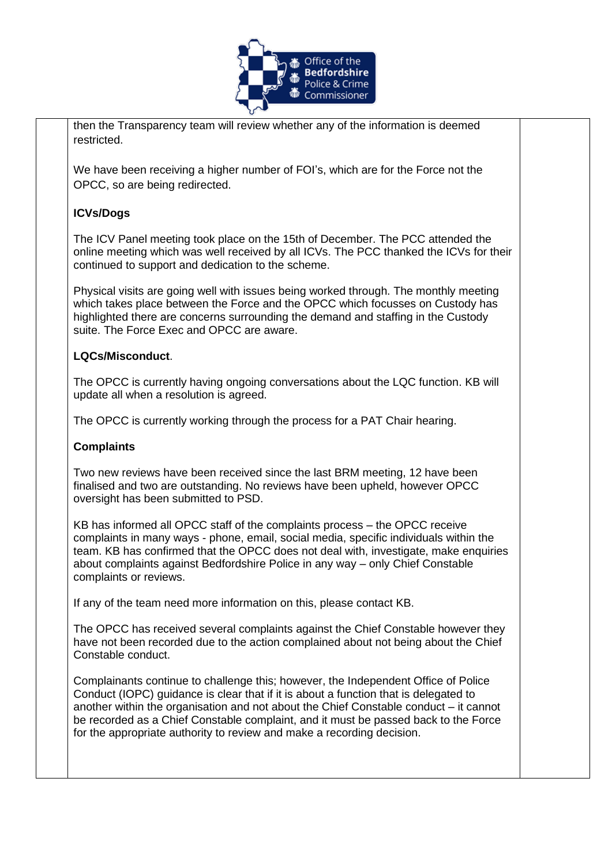

then the Transparency team will review whether any of the information is deemed restricted.

We have been receiving a higher number of FOI's, which are for the Force not the OPCC, so are being redirected.

## **ICVs/Dogs**

The ICV Panel meeting took place on the 15th of December. The PCC attended the online meeting which was well received by all ICVs. The PCC thanked the ICVs for their continued to support and dedication to the scheme.

Physical visits are going well with issues being worked through. The monthly meeting which takes place between the Force and the OPCC which focusses on Custody has highlighted there are concerns surrounding the demand and staffing in the Custody suite. The Force Exec and OPCC are aware.

#### **LQCs/Misconduct**.

The OPCC is currently having ongoing conversations about the LQC function. KB will update all when a resolution is agreed.

The OPCC is currently working through the process for a PAT Chair hearing.

## **Complaints**

Two new reviews have been received since the last BRM meeting, 12 have been finalised and two are outstanding. No reviews have been upheld, however OPCC oversight has been submitted to PSD.

KB has informed all OPCC staff of the complaints process – the OPCC receive complaints in many ways - phone, email, social media, specific individuals within the team. KB has confirmed that the OPCC does not deal with, investigate, make enquiries about complaints against Bedfordshire Police in any way – only Chief Constable complaints or reviews.

If any of the team need more information on this, please contact KB.

The OPCC has received several complaints against the Chief Constable however they have not been recorded due to the action complained about not being about the Chief Constable conduct.

Complainants continue to challenge this; however, the Independent Office of Police Conduct (IOPC) guidance is clear that if it is about a function that is delegated to another within the organisation and not about the Chief Constable conduct – it cannot be recorded as a Chief Constable complaint, and it must be passed back to the Force for the appropriate authority to review and make a recording decision.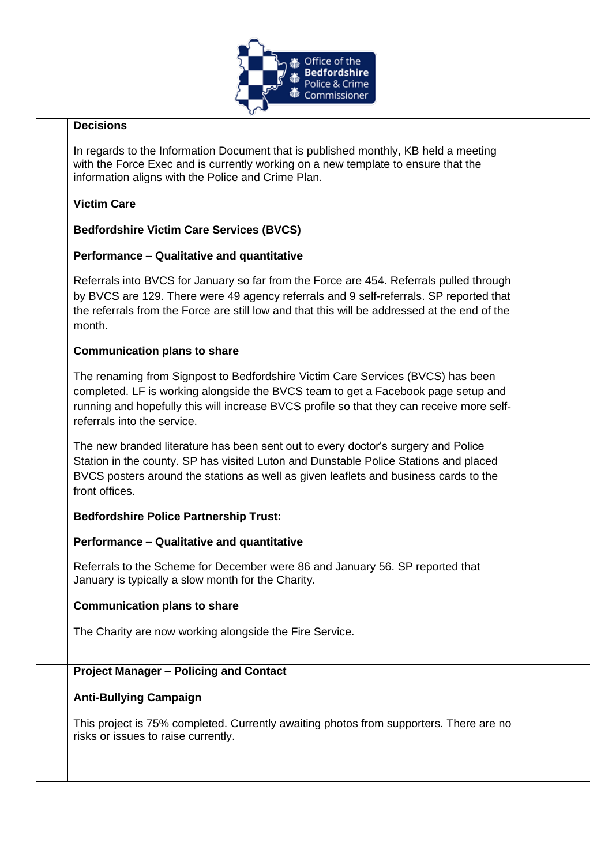

| <b>Decisions</b>                                                                                                                                                                                                                                                                                 |  |
|--------------------------------------------------------------------------------------------------------------------------------------------------------------------------------------------------------------------------------------------------------------------------------------------------|--|
| In regards to the Information Document that is published monthly, KB held a meeting<br>with the Force Exec and is currently working on a new template to ensure that the<br>information aligns with the Police and Crime Plan.                                                                   |  |
| <b>Victim Care</b>                                                                                                                                                                                                                                                                               |  |
| <b>Bedfordshire Victim Care Services (BVCS)</b>                                                                                                                                                                                                                                                  |  |
| Performance - Qualitative and quantitative                                                                                                                                                                                                                                                       |  |
| Referrals into BVCS for January so far from the Force are 454. Referrals pulled through<br>by BVCS are 129. There were 49 agency referrals and 9 self-referrals. SP reported that<br>the referrals from the Force are still low and that this will be addressed at the end of the<br>month.      |  |
| <b>Communication plans to share</b>                                                                                                                                                                                                                                                              |  |
| The renaming from Signpost to Bedfordshire Victim Care Services (BVCS) has been<br>completed. LF is working alongside the BVCS team to get a Facebook page setup and<br>running and hopefully this will increase BVCS profile so that they can receive more self-<br>referrals into the service. |  |
| The new branded literature has been sent out to every doctor's surgery and Police<br>Station in the county. SP has visited Luton and Dunstable Police Stations and placed<br>BVCS posters around the stations as well as given leaflets and business cards to the<br>front offices.              |  |
| <b>Bedfordshire Police Partnership Trust:</b>                                                                                                                                                                                                                                                    |  |
| Performance - Qualitative and quantitative                                                                                                                                                                                                                                                       |  |
| Referrals to the Scheme for December were 86 and January 56. SP reported that<br>January is typically a slow month for the Charity.                                                                                                                                                              |  |
| <b>Communication plans to share</b>                                                                                                                                                                                                                                                              |  |
| The Charity are now working alongside the Fire Service.                                                                                                                                                                                                                                          |  |
| <b>Project Manager - Policing and Contact</b>                                                                                                                                                                                                                                                    |  |
| <b>Anti-Bullying Campaign</b>                                                                                                                                                                                                                                                                    |  |
| This project is 75% completed. Currently awaiting photos from supporters. There are no<br>risks or issues to raise currently.                                                                                                                                                                    |  |
|                                                                                                                                                                                                                                                                                                  |  |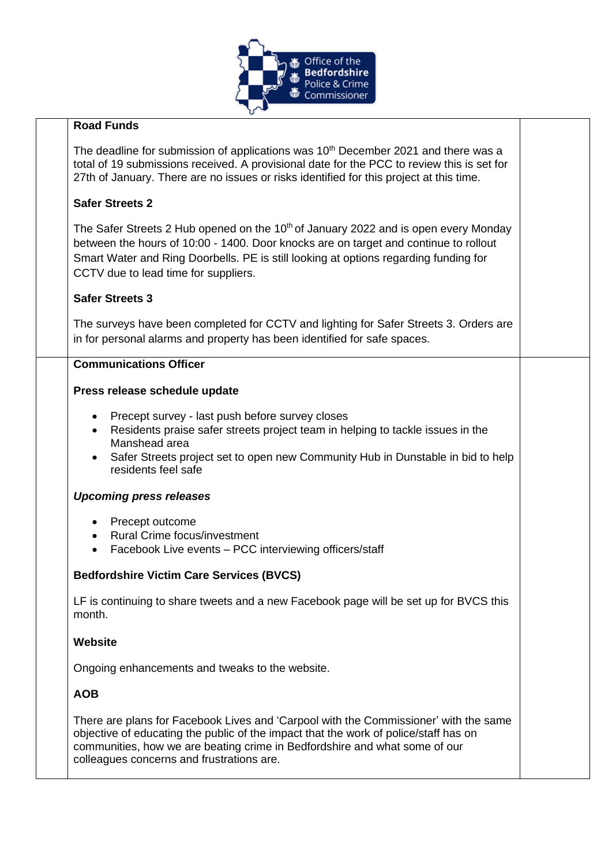

## **Road Funds**

The deadline for submission of applications was 10<sup>th</sup> December 2021 and there was a total of 19 submissions received. A provisional date for the PCC to review this is set for 27th of January. There are no issues or risks identified for this project at this time.

## **Safer Streets 2**

The Safer Streets 2 Hub opened on the 10<sup>th</sup> of January 2022 and is open every Monday between the hours of 10:00 - 1400. Door knocks are on target and continue to rollout Smart Water and Ring Doorbells. PE is still looking at options regarding funding for CCTV due to lead time for suppliers.

#### **Safer Streets 3**

The surveys have been completed for CCTV and lighting for Safer Streets 3. Orders are in for personal alarms and property has been identified for safe spaces.

#### **Communications Officer**

#### **Press release schedule update**

- Precept survey last push before survey closes
- Residents praise safer streets project team in helping to tackle issues in the Manshead area
- Safer Streets project set to open new Community Hub in Dunstable in bid to help residents feel safe

#### *Upcoming press releases*

- Precept outcome
- Rural Crime focus/investment
- Facebook Live events PCC interviewing officers/staff

## **Bedfordshire Victim Care Services (BVCS)**

LF is continuing to share tweets and a new Facebook page will be set up for BVCS this month.

#### **Website**

Ongoing enhancements and tweaks to the website.

## **AOB**

There are plans for Facebook Lives and 'Carpool with the Commissioner' with the same objective of educating the public of the impact that the work of police/staff has on communities, how we are beating crime in Bedfordshire and what some of our colleagues concerns and frustrations are.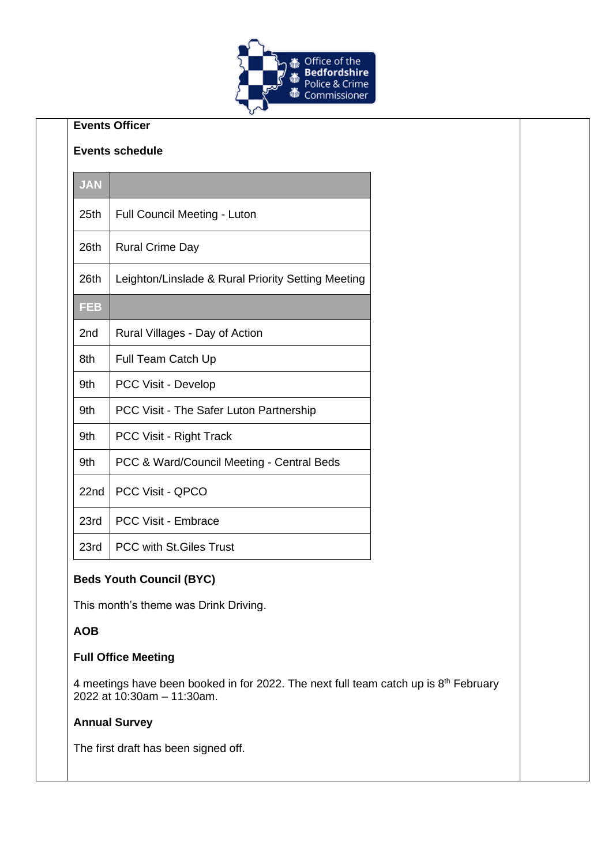

# **Events Officer**

#### **Events schedule**

| <b>JAN</b> |                                                    |
|------------|----------------------------------------------------|
| 25th       | <b>Full Council Meeting - Luton</b>                |
| 26th       | <b>Rural Crime Day</b>                             |
| 26th       | Leighton/Linslade & Rural Priority Setting Meeting |
| <b>FEB</b> |                                                    |
| 2nd        | Rural Villages - Day of Action                     |
| 8th        | Full Team Catch Up                                 |
| 9th        | PCC Visit - Develop                                |
| 9th        | PCC Visit - The Safer Luton Partnership            |
| 9th        | PCC Visit - Right Track                            |
| 9th        | PCC & Ward/Council Meeting - Central Beds          |
| 22nd       | PCC Visit - QPCO                                   |
| 23rd       | <b>PCC Visit - Embrace</b>                         |
| 23rd       | <b>PCC with St. Giles Trust</b>                    |

## **Beds Youth Council (BYC)**

This month's theme was Drink Driving.

#### **AOB**

#### **Full Office Meeting**

4 meetings have been booked in for 2022. The next full team catch up is  $8<sup>th</sup>$  February 2022 at 10:30am – 11:30am.

#### **Annual Survey**

The first draft has been signed off.